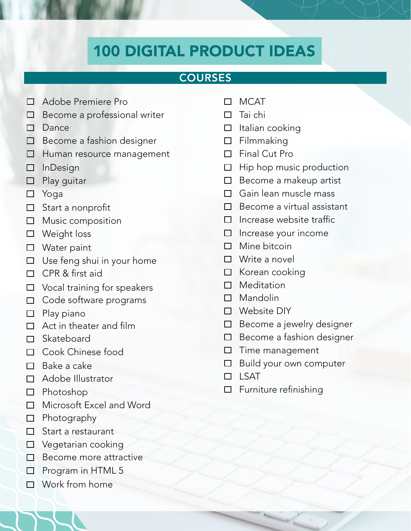# 100 DIGITAL PRODUCT IDEAS

### **COURSES**

- Adobe Premiere Pro
- $\Box$  Become a professional writer
- $\Box$  Dance
- $\Box$  Become a fashion designer
- □ Human resource management
- InDesign
- $\Box$  Play guitar
- Yoga
- □ Start a nonprofit
- $\Box$  Music composition
- □ Weight loss
- □ Water paint
- $\Box$  Use feng shui in your home
- $\Box$  CPR & first aid
- $\Box$  Vocal training for speakers
- □ Code software programs
- $\Box$  Play piano
- □ Act in theater and film
- □ Skateboard
- □ Cook Chinese food
- $\Box$  Bake a cake
- □ Adobe Illustrator
- $\Box$  Photoshop
- □ Microsoft Excel and Word
- $\Box$  Photography
- $\Box$  Start a restaurant
- □ Vegetarian cooking
- □ Become more attractive
- $\Box$  Program in HTML 5
- Work from home
- MCAT
- $\Box$  Tai chi
- $\Box$  Italian cooking
- $\square$  Filmmaking
- $\Pi$  Final Cut Pro
- $\Box$  Hip hop music production
- $\Box$  Become a makeup artist
- □ Gain lean muscle mass
- $\Box$  Become a virtual assistant
- $\Box$  Increase website traffic
- $\Box$  Increase your income
- $\Box$  Mine bitcoin
- □ Write a novel
- □ Korean cooking
- □ Meditation
- □ Mandolin
- □ Website DIY
- $\Box$  Become a jewelry designer
- $\Box$  Become a fashion designer
- $\square$  Time management
- □ Build your own computer
- $\Box$  LSAT
- $\square$  Furniture refinishing